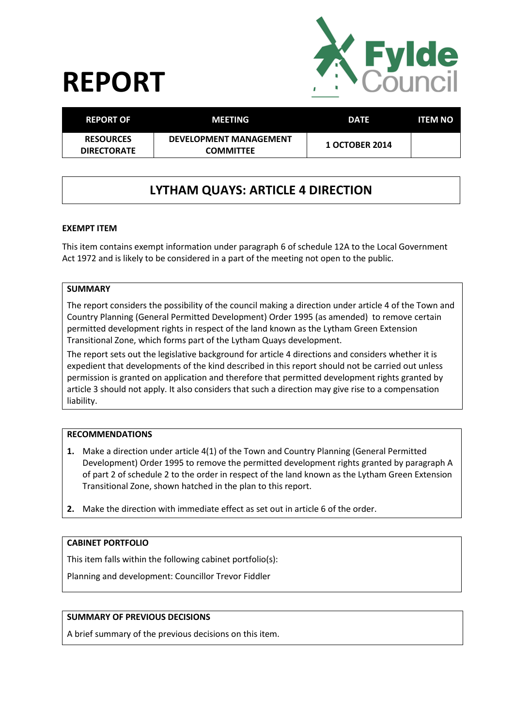# **REPORT**



| <b>REPORT OF</b>                       | <b>MEETING</b>                                    | <b>DATE</b>           | <b>ITEM NO</b> |
|----------------------------------------|---------------------------------------------------|-----------------------|----------------|
| <b>RESOURCES</b><br><b>DIRECTORATE</b> | <b>DEVELOPMENT MANAGEMENT</b><br><b>COMMITTEE</b> | <b>1 OCTOBER 2014</b> |                |

# **LYTHAM QUAYS: ARTICLE 4 DIRECTION**

# **EXEMPT ITEM**

This item contains exempt information under paragraph 6 of schedule 12A to the Local Government Act 1972 and is likely to be considered in a part of the meeting not open to the public.

### **SUMMARY**

The report considers the possibility of the council making a direction under article 4 of the Town and Country Planning (General Permitted Development) Order 1995 (as amended) to remove certain permitted development rights in respect of the land known as the Lytham Green Extension Transitional Zone, which forms part of the Lytham Quays development.

The report sets out the legislative background for article 4 directions and considers whether it is expedient that developments of the kind described in this report should not be carried out unless permission is granted on application and therefore that permitted development rights granted by article 3 should not apply. It also considers that such a direction may give rise to a compensation liability.

#### **RECOMMENDATIONS**

- **1.** Make a direction under article 4(1) of the Town and Country Planning (General Permitted Development) Order 1995 to remove the permitted development rights granted by paragraph A of part 2 of schedule 2 to the order in respect of the land known as the Lytham Green Extension Transitional Zone, shown hatched in the plan to this report.
- **2.** Make the direction with immediate effect as set out in article 6 of the order.

# **CABINET PORTFOLIO**

This item falls within the following cabinet portfolio(s):

Planning and development: Councillor Trevor Fiddler

# **SUMMARY OF PREVIOUS DECISIONS**

A brief summary of the previous decisions on this item.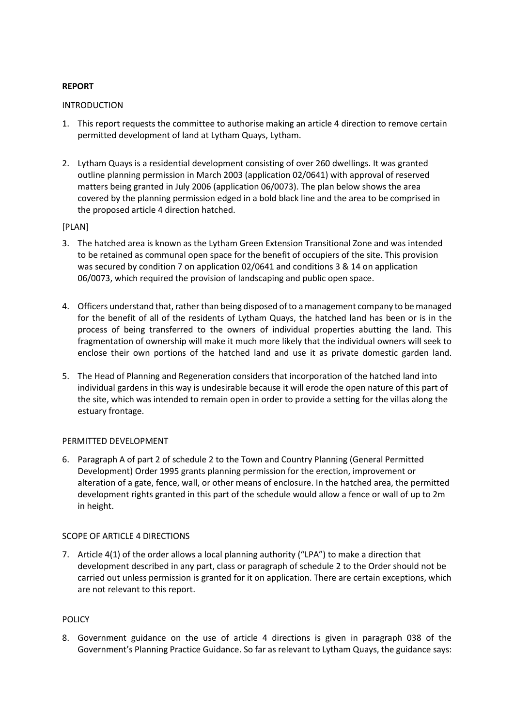# **REPORT**

#### **INTRODUCTION**

- 1. This report requests the committee to authorise making an article 4 direction to remove certain permitted development of land at Lytham Quays, Lytham.
- 2. Lytham Quays is a residential development consisting of over 260 dwellings. It was granted outline planning permission in March 2003 (application 02/0641) with approval of reserved matters being granted in July 2006 (application 06/0073). The plan below shows the area covered by the planning permission edged in a bold black line and the area to be comprised in the proposed article 4 direction hatched.

# [PLAN]

- 3. The hatched area is known as the Lytham Green Extension Transitional Zone and was intended to be retained as communal open space for the benefit of occupiers of the site. This provision was secured by condition 7 on application 02/0641 and conditions 3 & 14 on application 06/0073, which required the provision of landscaping and public open space.
- 4. Officers understand that, rather than being disposed of to a management company to be managed for the benefit of all of the residents of Lytham Quays, the hatched land has been or is in the process of being transferred to the owners of individual properties abutting the land. This fragmentation of ownership will make it much more likely that the individual owners will seek to enclose their own portions of the hatched land and use it as private domestic garden land.
- 5. The Head of Planning and Regeneration considers that incorporation of the hatched land into individual gardens in this way is undesirable because it will erode the open nature of this part of the site, which was intended to remain open in order to provide a setting for the villas along the estuary frontage.

#### PERMITTED DEVELOPMENT

6. Paragraph A of part 2 of schedule 2 to the Town and Country Planning (General Permitted Development) Order 1995 grants planning permission for the erection, improvement or alteration of a gate, fence, wall, or other means of enclosure. In the hatched area, the permitted development rights granted in this part of the schedule would allow a fence or wall of up to 2m in height.

# SCOPE OF ARTICLE 4 DIRECTIONS

7. Article 4(1) of the order allows a local planning authority ("LPA") to make a direction that development described in any part, class or paragraph of schedule 2 to the Order should not be carried out unless permission is granted for it on application. There are certain exceptions, which are not relevant to this report.

### POLICY

8. Government guidance on the use of article 4 directions is given in paragraph 038 of the Government's Planning Practice Guidance. So far as relevant to Lytham Quays, the guidance says: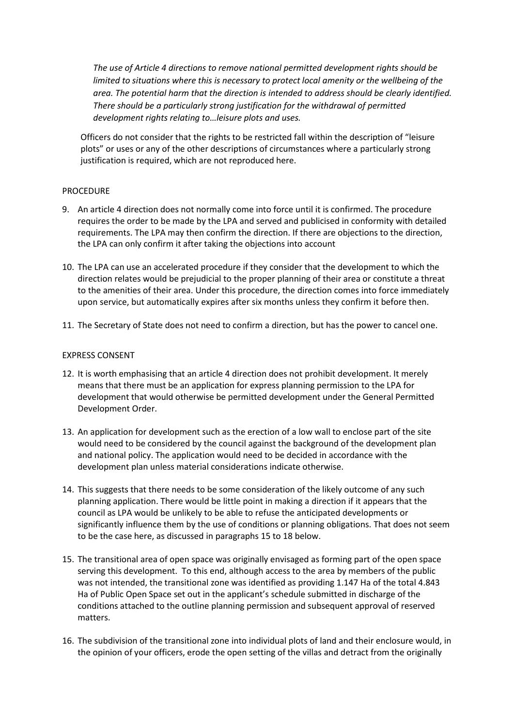*The use of Article 4 directions to remove national permitted development rights should be limited to situations where this is necessary to protect local amenity or the wellbeing of the area. The potential harm that the direction is intended to address should be clearly identified. There should be a particularly strong justification for the withdrawal of permitted development rights relating to…leisure plots and uses.*

Officers do not consider that the rights to be restricted fall within the description of "leisure plots" or uses or any of the other descriptions of circumstances where a particularly strong justification is required, which are not reproduced here.

#### PROCEDURE

- 9. An article 4 direction does not normally come into force until it is confirmed. The procedure requires the order to be made by the LPA and served and publicised in conformity with detailed requirements. The LPA may then confirm the direction. If there are objections to the direction, the LPA can only confirm it after taking the objections into account
- 10. The LPA can use an accelerated procedure if they consider that the development to which the direction relates would be prejudicial to the proper planning of their area or constitute a threat to the amenities of their area. Under this procedure, the direction comes into force immediately upon service, but automatically expires after six months unless they confirm it before then.
- 11. The Secretary of State does not need to confirm a direction, but has the power to cancel one.

#### EXPRESS CONSENT

- 12. It is worth emphasising that an article 4 direction does not prohibit development. It merely means that there must be an application for express planning permission to the LPA for development that would otherwise be permitted development under the General Permitted Development Order.
- 13. An application for development such as the erection of a low wall to enclose part of the site would need to be considered by the council against the background of the development plan and national policy. The application would need to be decided in accordance with the development plan unless material considerations indicate otherwise.
- 14. This suggests that there needs to be some consideration of the likely outcome of any such planning application. There would be little point in making a direction if it appears that the council as LPA would be unlikely to be able to refuse the anticipated developments or significantly influence them by the use of conditions or planning obligations. That does not seem to be the case here, as discussed in paragraphs 15 to 18 below.
- 15. The transitional area of open space was originally envisaged as forming part of the open space serving this development. To this end, although access to the area by members of the public was not intended, the transitional zone was identified as providing 1.147 Ha of the total 4.843 Ha of Public Open Space set out in the applicant's schedule submitted in discharge of the conditions attached to the outline planning permission and subsequent approval of reserved matters.
- 16. The subdivision of the transitional zone into individual plots of land and their enclosure would, in the opinion of your officers, erode the open setting of the villas and detract from the originally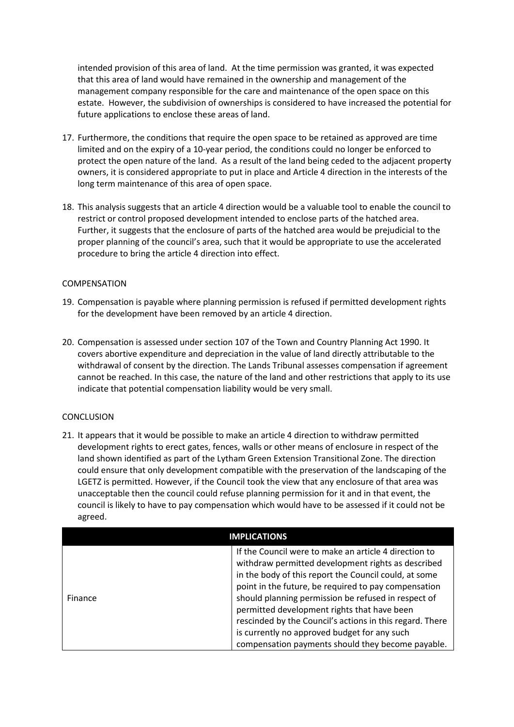intended provision of this area of land. At the time permission was granted, it was expected that this area of land would have remained in the ownership and management of the management company responsible for the care and maintenance of the open space on this estate. However, the subdivision of ownerships is considered to have increased the potential for future applications to enclose these areas of land.

- 17. Furthermore, the conditions that require the open space to be retained as approved are time limited and on the expiry of a 10-year period, the conditions could no longer be enforced to protect the open nature of the land. As a result of the land being ceded to the adjacent property owners, it is considered appropriate to put in place and Article 4 direction in the interests of the long term maintenance of this area of open space.
- 18. This analysis suggests that an article 4 direction would be a valuable tool to enable the council to restrict or control proposed development intended to enclose parts of the hatched area. Further, it suggests that the enclosure of parts of the hatched area would be prejudicial to the proper planning of the council's area, such that it would be appropriate to use the accelerated procedure to bring the article 4 direction into effect.

# COMPENSATION

- 19. Compensation is payable where planning permission is refused if permitted development rights for the development have been removed by an article 4 direction.
- 20. Compensation is assessed under section 107 of the Town and Country Planning Act 1990. It covers abortive expenditure and depreciation in the value of land directly attributable to the withdrawal of consent by the direction. The Lands Tribunal assesses compensation if agreement cannot be reached. In this case, the nature of the land and other restrictions that apply to its use indicate that potential compensation liability would be very small.

#### **CONCLUSION**

21. It appears that it would be possible to make an article 4 direction to withdraw permitted development rights to erect gates, fences, walls or other means of enclosure in respect of the land shown identified as part of the Lytham Green Extension Transitional Zone. The direction could ensure that only development compatible with the preservation of the landscaping of the LGETZ is permitted. However, if the Council took the view that any enclosure of that area was unacceptable then the council could refuse planning permission for it and in that event, the council is likely to have to pay compensation which would have to be assessed if it could not be agreed.

| <b>IMPLICATIONS</b> |                                                                                                                                                                                                                                                                                                                                                                                                                                                                                                     |  |
|---------------------|-----------------------------------------------------------------------------------------------------------------------------------------------------------------------------------------------------------------------------------------------------------------------------------------------------------------------------------------------------------------------------------------------------------------------------------------------------------------------------------------------------|--|
| Finance             | If the Council were to make an article 4 direction to<br>withdraw permitted development rights as described<br>in the body of this report the Council could, at some<br>point in the future, be required to pay compensation<br>should planning permission be refused in respect of<br>permitted development rights that have been<br>rescinded by the Council's actions in this regard. There<br>is currently no approved budget for any such<br>compensation payments should they become payable. |  |